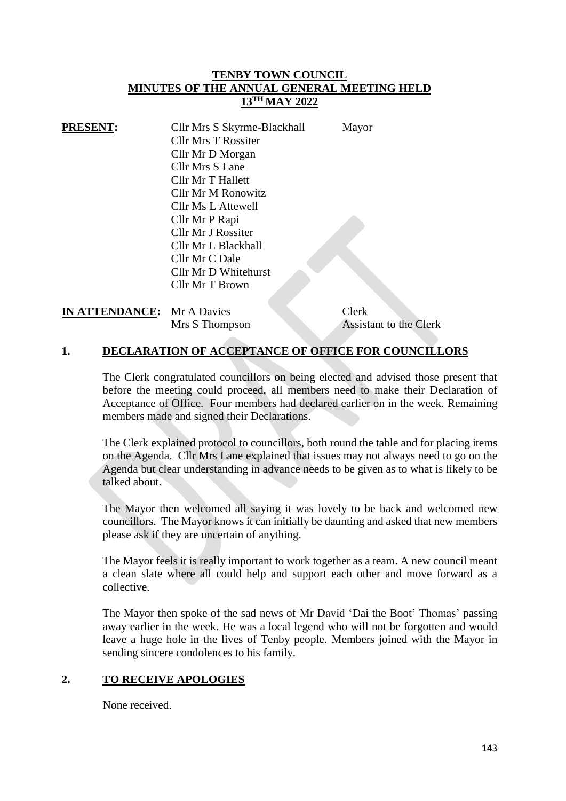### **TENBY TOWN COUNCIL MINUTES OF THE ANNUAL GENERAL MEETING HELD 13TH MAY 2022**

| <b>PRESENT:</b> | Cllr Mrs S Skyrme-Blackhall | Mayor |
|-----------------|-----------------------------|-------|
|                 | <b>Cllr Mrs T Rossiter</b>  |       |
|                 | Cllr Mr D Morgan            |       |
|                 | Cllr Mrs S Lane             |       |
|                 | Cllr Mr T Hallett           |       |
|                 | Cllr Mr M Ronowitz          |       |
|                 | Cllr Ms L Attewell          |       |
|                 | Cllr Mr P Rapi              |       |
|                 | Cllr Mr J Rossiter          |       |
|                 | Cllr Mr L Blackhall         |       |
|                 | Cllr Mr C Dale              |       |
|                 | Cllr Mr D Whitehurst        |       |
|                 | Cllr Mr T Brown             |       |

**IN ATTENDANCE:** Mr A Davies Clerk

Mrs S Thompson Assistant to the Clerk

## **1. DECLARATION OF ACCEPTANCE OF OFFICE FOR COUNCILLORS**

The Clerk congratulated councillors on being elected and advised those present that before the meeting could proceed, all members need to make their Declaration of Acceptance of Office. Four members had declared earlier on in the week. Remaining members made and signed their Declarations.

The Clerk explained protocol to councillors, both round the table and for placing items on the Agenda. Cllr Mrs Lane explained that issues may not always need to go on the Agenda but clear understanding in advance needs to be given as to what is likely to be talked about.

The Mayor then welcomed all saying it was lovely to be back and welcomed new councillors. The Mayor knows it can initially be daunting and asked that new members please ask if they are uncertain of anything.

The Mayor feels it is really important to work together as a team. A new council meant a clean slate where all could help and support each other and move forward as a collective.

The Mayor then spoke of the sad news of Mr David 'Dai the Boot' Thomas' passing away earlier in the week. He was a local legend who will not be forgotten and would leave a huge hole in the lives of Tenby people. Members joined with the Mayor in sending sincere condolences to his family.

#### **2. TO RECEIVE APOLOGIES**

None received.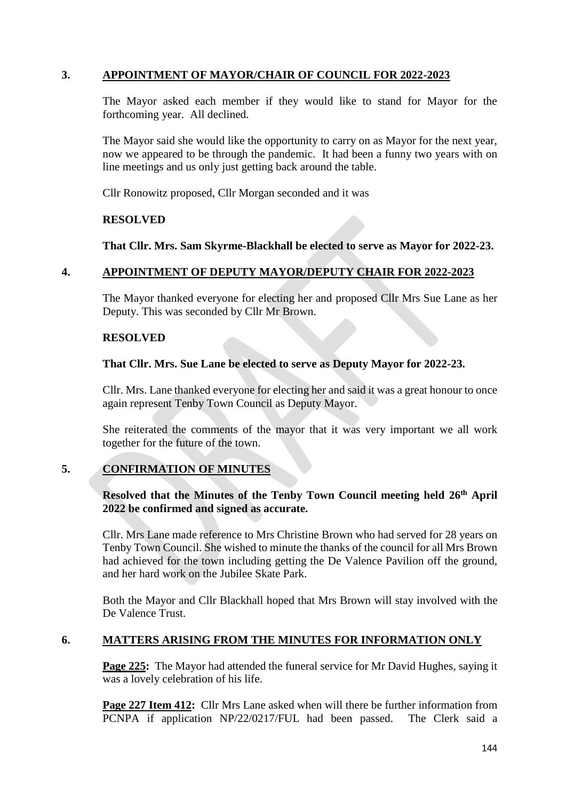# **3. APPOINTMENT OF MAYOR/CHAIR OF COUNCIL FOR 2022-2023**

The Mayor asked each member if they would like to stand for Mayor for the forthcoming year. All declined.

The Mayor said she would like the opportunity to carry on as Mayor for the next year, now we appeared to be through the pandemic. It had been a funny two years with on line meetings and us only just getting back around the table.

Cllr Ronowitz proposed, Cllr Morgan seconded and it was

### **RESOLVED**

**That Cllr. Mrs. Sam Skyrme-Blackhall be elected to serve as Mayor for 2022-23.** 

## **4. APPOINTMENT OF DEPUTY MAYOR/DEPUTY CHAIR FOR 2022-2023**

The Mayor thanked everyone for electing her and proposed Cllr Mrs Sue Lane as her Deputy. This was seconded by Cllr Mr Brown.

#### **RESOLVED**

## **That Cllr. Mrs. Sue Lane be elected to serve as Deputy Mayor for 2022-23.**

Cllr. Mrs. Lane thanked everyone for electing her and said it was a great honour to once again represent Tenby Town Council as Deputy Mayor.

She reiterated the comments of the mayor that it was very important we all work together for the future of the town.

## **5. CONFIRMATION OF MINUTES**

## **Resolved that the Minutes of the Tenby Town Council meeting held 26th April 2022 be confirmed and signed as accurate.**

Cllr. Mrs Lane made reference to Mrs Christine Brown who had served for 28 years on Tenby Town Council. She wished to minute the thanks of the council for all Mrs Brown had achieved for the town including getting the De Valence Pavilion off the ground, and her hard work on the Jubilee Skate Park.

Both the Mayor and Cllr Blackhall hoped that Mrs Brown will stay involved with the De Valence Trust.

## **6. MATTERS ARISING FROM THE MINUTES FOR INFORMATION ONLY**

**Page 225:** The Mayor had attended the funeral service for Mr David Hughes, saying it was a lovely celebration of his life.

**Page 227 Item 412:** Cllr Mrs Lane asked when will there be further information from PCNPA if application NP/22/0217/FUL had been passed. The Clerk said a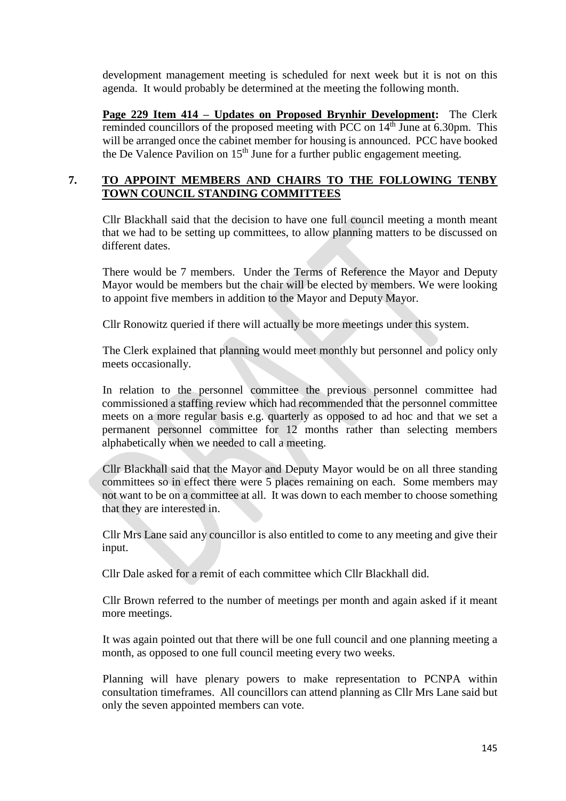development management meeting is scheduled for next week but it is not on this agenda. It would probably be determined at the meeting the following month.

**Page 229 Item 414 – Updates on Proposed Brynhir Development:** The Clerk reminded councillors of the proposed meeting with PCC on 14<sup>th</sup> June at 6.30pm. This will be arranged once the cabinet member for housing is announced. PCC have booked the De Valence Pavilion on  $15<sup>th</sup>$  June for a further public engagement meeting.

## **7. TO APPOINT MEMBERS AND CHAIRS TO THE FOLLOWING TENBY TOWN COUNCIL STANDING COMMITTEES**

Cllr Blackhall said that the decision to have one full council meeting a month meant that we had to be setting up committees, to allow planning matters to be discussed on different dates.

There would be 7 members. Under the Terms of Reference the Mayor and Deputy Mayor would be members but the chair will be elected by members. We were looking to appoint five members in addition to the Mayor and Deputy Mayor.

Cllr Ronowitz queried if there will actually be more meetings under this system.

The Clerk explained that planning would meet monthly but personnel and policy only meets occasionally.

In relation to the personnel committee the previous personnel committee had commissioned a staffing review which had recommended that the personnel committee meets on a more regular basis e.g. quarterly as opposed to ad hoc and that we set a permanent personnel committee for 12 months rather than selecting members alphabetically when we needed to call a meeting.

Cllr Blackhall said that the Mayor and Deputy Mayor would be on all three standing committees so in effect there were 5 places remaining on each. Some members may not want to be on a committee at all. It was down to each member to choose something that they are interested in.

Cllr Mrs Lane said any councillor is also entitled to come to any meeting and give their input.

Cllr Dale asked for a remit of each committee which Cllr Blackhall did.

Cllr Brown referred to the number of meetings per month and again asked if it meant more meetings.

It was again pointed out that there will be one full council and one planning meeting a month, as opposed to one full council meeting every two weeks.

Planning will have plenary powers to make representation to PCNPA within consultation timeframes. All councillors can attend planning as Cllr Mrs Lane said but only the seven appointed members can vote.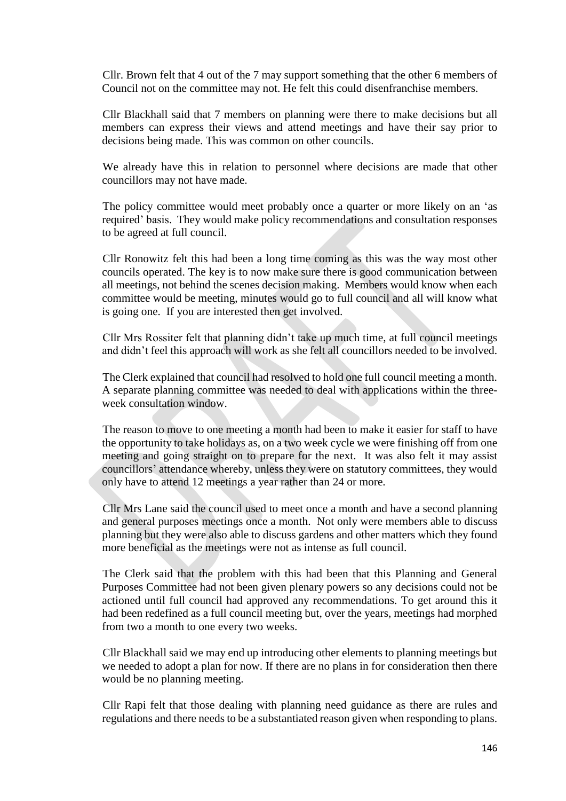Cllr. Brown felt that 4 out of the 7 may support something that the other 6 members of Council not on the committee may not. He felt this could disenfranchise members.

Cllr Blackhall said that 7 members on planning were there to make decisions but all members can express their views and attend meetings and have their say prior to decisions being made. This was common on other councils.

We already have this in relation to personnel where decisions are made that other councillors may not have made.

The policy committee would meet probably once a quarter or more likely on an 'as required' basis. They would make policy recommendations and consultation responses to be agreed at full council.

Cllr Ronowitz felt this had been a long time coming as this was the way most other councils operated. The key is to now make sure there is good communication between all meetings, not behind the scenes decision making. Members would know when each committee would be meeting, minutes would go to full council and all will know what is going one. If you are interested then get involved.

Cllr Mrs Rossiter felt that planning didn't take up much time, at full council meetings and didn't feel this approach will work as she felt all councillors needed to be involved.

The Clerk explained that council had resolved to hold one full council meeting a month. A separate planning committee was needed to deal with applications within the threeweek consultation window.

The reason to move to one meeting a month had been to make it easier for staff to have the opportunity to take holidays as, on a two week cycle we were finishing off from one meeting and going straight on to prepare for the next. It was also felt it may assist councillors' attendance whereby, unless they were on statutory committees, they would only have to attend 12 meetings a year rather than 24 or more.

Cllr Mrs Lane said the council used to meet once a month and have a second planning and general purposes meetings once a month. Not only were members able to discuss planning but they were also able to discuss gardens and other matters which they found more beneficial as the meetings were not as intense as full council.

The Clerk said that the problem with this had been that this Planning and General Purposes Committee had not been given plenary powers so any decisions could not be actioned until full council had approved any recommendations. To get around this it had been redefined as a full council meeting but, over the years, meetings had morphed from two a month to one every two weeks.

Cllr Blackhall said we may end up introducing other elements to planning meetings but we needed to adopt a plan for now. If there are no plans in for consideration then there would be no planning meeting.

Cllr Rapi felt that those dealing with planning need guidance as there are rules and regulations and there needs to be a substantiated reason given when responding to plans.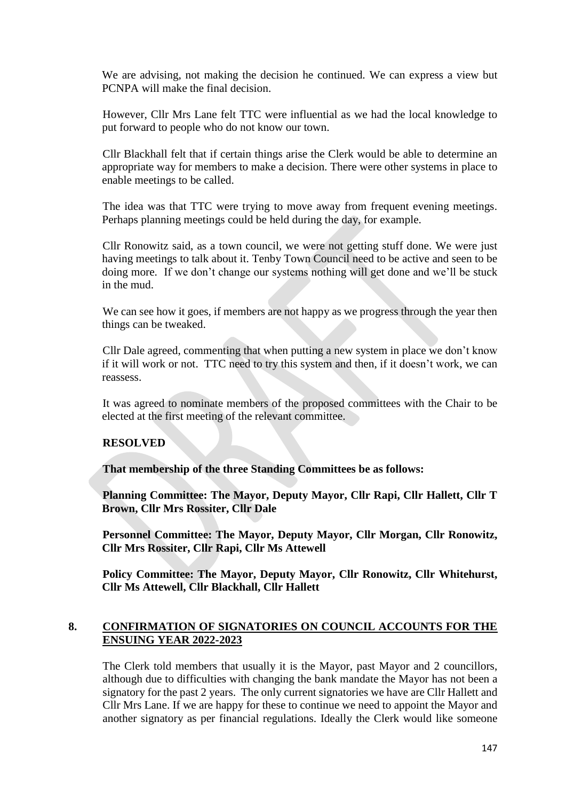We are advising, not making the decision he continued. We can express a view but PCNPA will make the final decision.

However, Cllr Mrs Lane felt TTC were influential as we had the local knowledge to put forward to people who do not know our town.

Cllr Blackhall felt that if certain things arise the Clerk would be able to determine an appropriate way for members to make a decision. There were other systems in place to enable meetings to be called.

The idea was that TTC were trying to move away from frequent evening meetings. Perhaps planning meetings could be held during the day, for example.

Cllr Ronowitz said, as a town council, we were not getting stuff done. We were just having meetings to talk about it. Tenby Town Council need to be active and seen to be doing more. If we don't change our systems nothing will get done and we'll be stuck in the mud.

We can see how it goes, if members are not happy as we progress through the year then things can be tweaked.

Cllr Dale agreed, commenting that when putting a new system in place we don't know if it will work or not. TTC need to try this system and then, if it doesn't work, we can reassess.

It was agreed to nominate members of the proposed committees with the Chair to be elected at the first meeting of the relevant committee.

#### **RESOLVED**

**That membership of the three Standing Committees be as follows:**

**Planning Committee: The Mayor, Deputy Mayor, Cllr Rapi, Cllr Hallett, Cllr T Brown, Cllr Mrs Rossiter, Cllr Dale**

**Personnel Committee: The Mayor, Deputy Mayor, Cllr Morgan, Cllr Ronowitz, Cllr Mrs Rossiter, Cllr Rapi, Cllr Ms Attewell**

**Policy Committee: The Mayor, Deputy Mayor, Cllr Ronowitz, Cllr Whitehurst, Cllr Ms Attewell, Cllr Blackhall, Cllr Hallett**

## **8. CONFIRMATION OF SIGNATORIES ON COUNCIL ACCOUNTS FOR THE ENSUING YEAR 2022-2023**

The Clerk told members that usually it is the Mayor, past Mayor and 2 councillors, although due to difficulties with changing the bank mandate the Mayor has not been a signatory for the past 2 years. The only current signatories we have are Cllr Hallett and Cllr Mrs Lane. If we are happy for these to continue we need to appoint the Mayor and another signatory as per financial regulations. Ideally the Clerk would like someone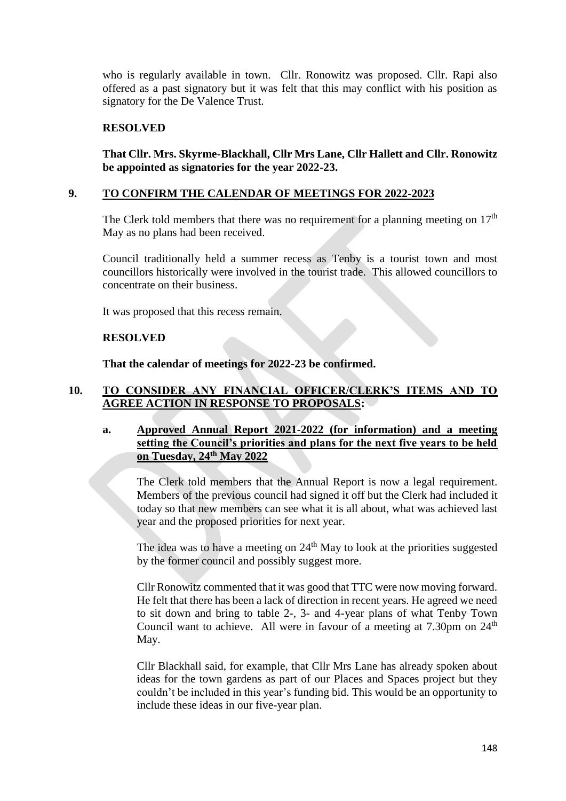who is regularly available in town. Cllr. Ronowitz was proposed. Cllr. Rapi also offered as a past signatory but it was felt that this may conflict with his position as signatory for the De Valence Trust.

## **RESOLVED**

**That Cllr. Mrs. Skyrme-Blackhall, Cllr Mrs Lane, Cllr Hallett and Cllr. Ronowitz be appointed as signatories for the year 2022-23.**

### **9. TO CONFIRM THE CALENDAR OF MEETINGS FOR 2022-2023**

The Clerk told members that there was no requirement for a planning meeting on  $17<sup>th</sup>$ May as no plans had been received.

Council traditionally held a summer recess as Tenby is a tourist town and most councillors historically were involved in the tourist trade. This allowed councillors to concentrate on their business.

It was proposed that this recess remain.

#### **RESOLVED**

**That the calendar of meetings for 2022-23 be confirmed.**

## **10. TO CONSIDER ANY FINANCIAL OFFICER/CLERK'S ITEMS AND TO AGREE ACTION IN RESPONSE TO PROPOSALS:**

### **a. Approved Annual Report 2021-2022 (for information) and a meeting setting the Council's priorities and plans for the next five years to be held on Tuesday, 24th May 2022**

The Clerk told members that the Annual Report is now a legal requirement. Members of the previous council had signed it off but the Clerk had included it today so that new members can see what it is all about, what was achieved last year and the proposed priorities for next year.

The idea was to have a meeting on  $24<sup>th</sup>$  May to look at the priorities suggested by the former council and possibly suggest more.

Cllr Ronowitz commented that it was good that TTC were now moving forward. He felt that there has been a lack of direction in recent years. He agreed we need to sit down and bring to table 2-, 3- and 4-year plans of what Tenby Town Council want to achieve. All were in favour of a meeting at  $7.30 \text{pm}$  on  $24^{\text{th}}$ May.

Cllr Blackhall said, for example, that Cllr Mrs Lane has already spoken about ideas for the town gardens as part of our Places and Spaces project but they couldn't be included in this year's funding bid. This would be an opportunity to include these ideas in our five-year plan.